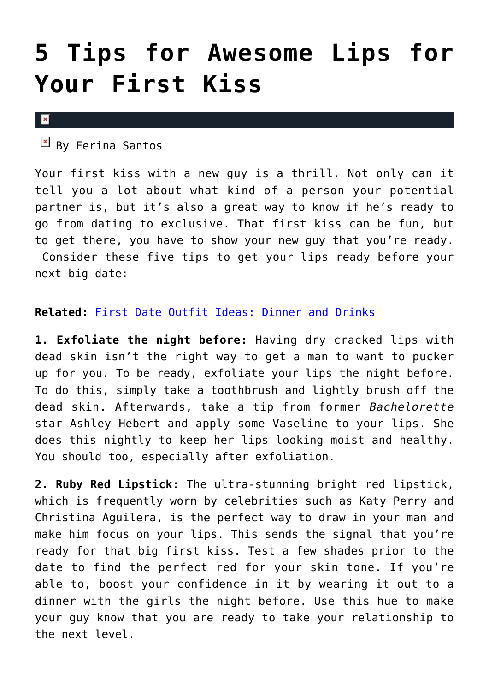## **[5 Tips for Awesome Lips for](https://cupidspulse.com/34478/first-kiss-lips-lip-care-tips/) [Your First Kiss](https://cupidspulse.com/34478/first-kiss-lips-lip-care-tips/)**

## $\pmb{\times}$

 $\mathbb{E}$  By Ferina Santos

Your first kiss with a new guy is a thrill. Not only can it tell you a lot about what kind of a person your potential partner is, but it's also a great way to know if he's ready to go from dating to exclusive. That first kiss can be fun, but to get there, you have to show your new guy that you're ready. Consider these five tips to get your lips ready before your next big date:

## **Related:** [First Date Outfit Ideas: Dinner and Drinks](http://cupidspulse.com/girls-guysfirst-date-outfit-ideas-dinner-and-drinks/)

**1. Exfoliate the night before:** Having dry cracked lips with dead skin isn't the right way to get a man to want to pucker up for you. To be ready, exfoliate your lips the night before. To do this, simply take a toothbrush and lightly brush off the dead skin. Afterwards, take a tip from former *Bachelorette* star Ashley Hebert and apply some Vaseline to your lips. She does this nightly to keep her lips looking moist and healthy. You should too, especially after exfoliation.

**2. Ruby Red Lipstick**: The ultra-stunning bright red lipstick, which is frequently worn by celebrities such as Katy Perry and Christina Aguilera, is the perfect way to draw in your man and make him focus on your lips. This sends the signal that you're ready for that big first kiss. Test a few shades prior to the date to find the perfect red for your skin tone. If you're able to, boost your confidence in it by wearing it out to a dinner with the girls the night before. Use this hue to make your guy know that you are ready to take your relationship to the next level.